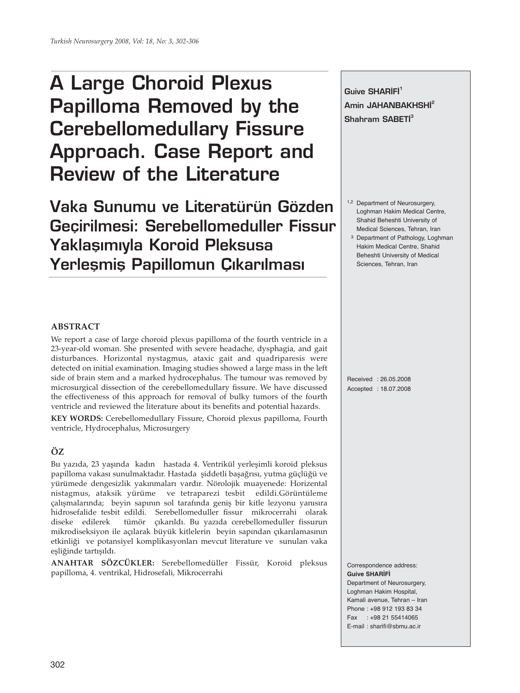# **A Large Choroid Plexus Papilloma Removed by the Cerebellomedullary Fissure Approach. Case Report and Review of the Literature**

**Vaka Sunumu ve Literatürün Gözden Geçirilmesi: Serebellomeduller Fissur Yaklaşımıyla Koroid Pleksusa** Yerleşmiş Papillomun Çıkarılması

**Guive SHARIFI<sup>1</sup>** Amin JAHANBAKHSHI<sup>2</sup> **Shahram SABETI<sup>3</sup>** 

- 1,2 Department of Neurosurgery, Loghman Hakim Medical Centre, Shahid Beheshti University of Medical Sciences, Tehran, Iran
- 3 Department of Pathology, Loghman Hakim Medical Centre, Shahid Beheshti University of Medical Sciences, Tehran, Iran

### **ABSTRACT**

We report a case of large choroid plexus papilloma of the fourth ventricle in a 23-year-old woman. She presented with severe headache, dysphagia, and gait disturbances. Horizontal nystagmus, ataxic gait and quadriparesis were detected on initial examination. Imaging studies showed a large mass in the left side of brain stem and a marked hydrocephalus. The tumour was removed by microsurgical dissection of the cerebellomedullary fissure. We have discussed the effectiveness of this approach for removal of bulky tumors of the fourth ventricle and reviewed the literature about its benefits and potential hazards.

**KEY WORDS:** Cerebellomedullary Fissure, Choroid plexus papilloma, Fourth ventricle, Hydrocephalus, Microsurgery

## **ÖZ**

Bu yazıda, 23 yaşında kadın hastada 4. Ventrikül yerleşimli koroid pleksus papilloma vakası sunulmaktadır. Hastada şiddetli başağrısı, yutma güçlüğü ve yürümede dengesizlik yakınmaları vardır. Nörolojik muayenede: Horizental nistagmus, ataksik yürüme ve tetraparezi tesbit edildi.Görüntüleme çalışmalarında; beyin sapının sol tarafında geniş bir kitle lezyonu yanısıra hidrosefalide tesbit edildi. Serebellomeduller fissur mikrocerrahi olarak diseke edilerek tümör çıkarıldı. Bu yazıda cerebellomeduller fissurun mikrodiseksiyon ile açılarak büyük kitlelerin beyin sapından çıkarılamasının etkinliği ve potansiyel komplikasyonları mevcut literature ve sunulan vaka eşliğinde tartışıldı.

**ANAHTAR SÖZCÜKLER:** Serebellomedüller Fissür, Koroid pleksus papilloma, 4. ventrikal, Hidrosefali, Mikrocerrahi

Received : 26.05.2008 Accepted : 18.07.2008

#### Correspondence address: **Guive SHARİFİ**

Department of Neurosurgery, Loghman Hakim Hospital, Kamali avenue, Tehran – Iran Phone : +98 912 193 83 34 Fax : +98 21 55414065 E-mail : sharifi@sbmu.ac.ir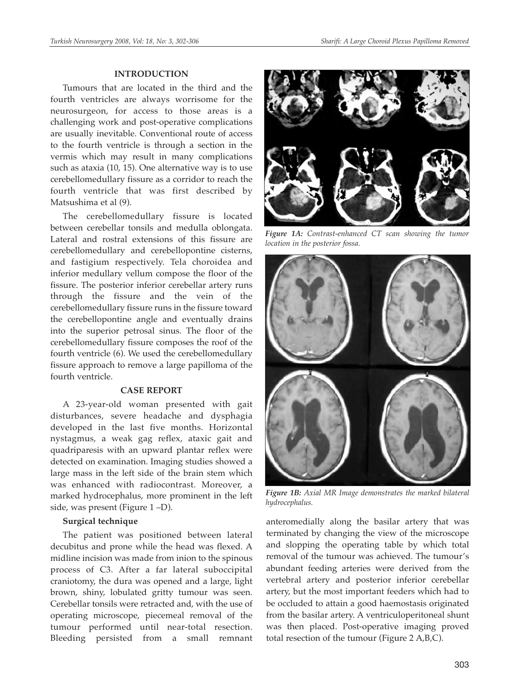#### **INTRODUCTION**

Tumours that are located in the third and the fourth ventricles are always worrisome for the neurosurgeon, for access to those areas is a challenging work and post-operative complications are usually inevitable. Conventional route of access to the fourth ventricle is through a section in the vermis which may result in many complications such as ataxia (10, 15). One alternative way is to use cerebellomedullary fissure as a corridor to reach the fourth ventricle that was first described by Matsushima et al (9).

The cerebellomedullary fissure is located between cerebellar tonsils and medulla oblongata. Lateral and rostral extensions of this fissure are cerebellomedullary and cerebellopontine cisterns, and fastigium respectively. Tela choroidea and inferior medullary vellum compose the floor of the fissure. The posterior inferior cerebellar artery runs through the fissure and the vein of the cerebellomedullary fissure runs in the fissure toward the cerebellopontine angle and eventually drains into the superior petrosal sinus. The floor of the cerebellomedullary fissure composes the roof of the fourth ventricle (6). We used the cerebellomedullary fissure approach to remove a large papilloma of the fourth ventricle.

#### **CASE REPORT**

A 23-year-old woman presented with gait disturbances, severe headache and dysphagia developed in the last five months. Horizontal nystagmus, a weak gag reflex, ataxic gait and quadriparesis with an upward plantar reflex were detected on examination. Imaging studies showed a large mass in the left side of the brain stem which was enhanced with radiocontrast. Moreover, a marked hydrocephalus, more prominent in the left side, was present (Figure 1 –D).

#### **Surgical technique**

The patient was positioned between lateral decubitus and prone while the head was flexed. A midline incision was made from inion to the spinous process of C3. After a far lateral suboccipital craniotomy, the dura was opened and a large, light brown, shiny, lobulated gritty tumour was seen. Cerebellar tonsils were retracted and, with the use of operating microscope, piecemeal removal of the tumour performed until near-total resection. Bleeding persisted from a small remnant



*Figure 1A: Contrast-enhanced CT scan showing the tumor location in the posterior fossa.*



*Figure 1B: Axial MR Image demonstrates the marked bilateral hydrocephalus.*

anteromedially along the basilar artery that was terminated by changing the view of the microscope and slopping the operating table by which total removal of the tumour was achieved. The tumour's abundant feeding arteries were derived from the vertebral artery and posterior inferior cerebellar artery, but the most important feeders which had to be occluded to attain a good haemostasis originated from the basilar artery. A ventriculoperitoneal shunt was then placed. Post-operative imaging proved total resection of the tumour (Figure 2 A,B,C).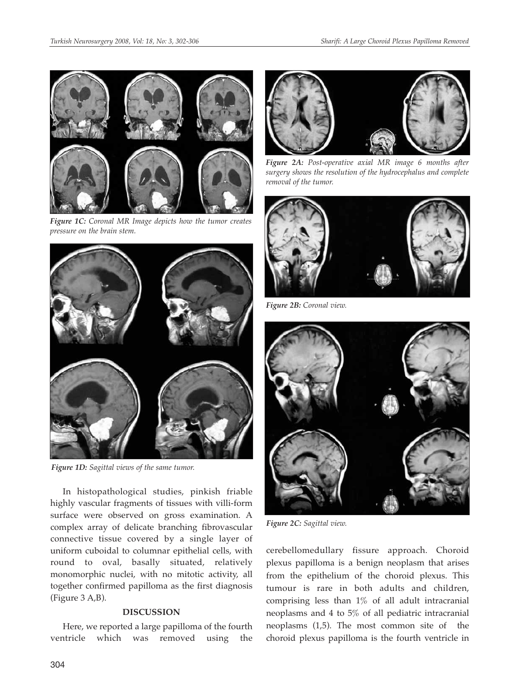

*Figure 1C: Coronal MR Image depicts how the tumor creates pressure on the brain stem.*



*Figure 1D: Sagittal views of the same tumor.* 

In histopathological studies, pinkish friable highly vascular fragments of tissues with villi-form surface were observed on gross examination. A complex array of delicate branching fibrovascular connective tissue covered by a single layer of uniform cuboidal to columnar epithelial cells, with round to oval, basally situated, relatively monomorphic nuclei, with no mitotic activity, all together confirmed papilloma as the first diagnosis (Figure 3 A,B).

#### **DISCUSSION**

Here, we reported a large papilloma of the fourth ventricle which was removed using the



*Figure 2A: Post-operative axial MR image 6 months after surgery shows the resolution of the hydrocephalus and complete removal of the tumor.*



*Figure 2B: Coronal view.*



*Figure 2C: Sagittal view.*

cerebellomedullary fissure approach. Choroid plexus papilloma is a benign neoplasm that arises from the epithelium of the choroid plexus. This tumour is rare in both adults and children, comprising less than 1% of all adult intracranial neoplasms and 4 to 5% of all pediatric intracranial neoplasms (1,5). The most common site of the choroid plexus papilloma is the fourth ventricle in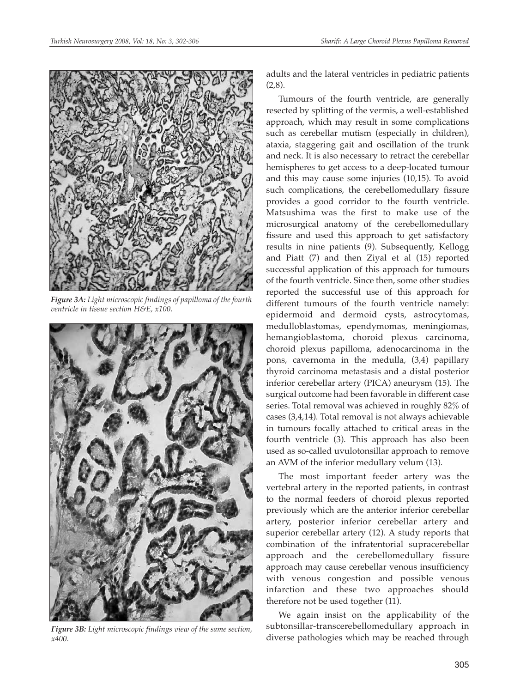

*Figure 3A: Light microscopic findings of papilloma of the fourth ventricle in tissue section H&E, x100.*



*Figure 3B: Light microscopic findings view of the same section, x400.*

adults and the lateral ventricles in pediatric patients  $(2,8)$ .

Tumours of the fourth ventricle, are generally resected by splitting of the vermis, a well-established approach, which may result in some complications such as cerebellar mutism (especially in children), ataxia, staggering gait and oscillation of the trunk and neck. It is also necessary to retract the cerebellar hemispheres to get access to a deep-located tumour and this may cause some injuries (10,15). To avoid such complications, the cerebellomedullary fissure provides a good corridor to the fourth ventricle. Matsushima was the first to make use of the microsurgical anatomy of the cerebellomedullary fissure and used this approach to get satisfactory results in nine patients (9). Subsequently, Kellogg and Piatt (7) and then Ziyal et al (15) reported successful application of this approach for tumours of the fourth ventricle. Since then, some other studies reported the successful use of this approach for different tumours of the fourth ventricle namely: epidermoid and dermoid cysts, astrocytomas, medulloblastomas, ependymomas, meningiomas, hemangioblastoma, choroid plexus carcinoma, choroid plexus papilloma, adenocarcinoma in the pons, cavernoma in the medulla, (3,4) papillary thyroid carcinoma metastasis and a distal posterior inferior cerebellar artery (PICA) aneurysm (15). The surgical outcome had been favorable in different case series. Total removal was achieved in roughly 82% of cases (3,4,14). Total removal is not always achievable in tumours focally attached to critical areas in the fourth ventricle (3). This approach has also been used as so-called uvulotonsillar approach to remove an AVM of the inferior medullary velum (13).

The most important feeder artery was the vertebral artery in the reported patients, in contrast to the normal feeders of choroid plexus reported previously which are the anterior inferior cerebellar artery, posterior inferior cerebellar artery and superior cerebellar artery (12). A study reports that combination of the infratentorial supracerebellar approach and the cerebellomedullary fissure approach may cause cerebellar venous insufficiency with venous congestion and possible venous infarction and these two approaches should therefore not be used together (11).

We again insist on the applicability of the subtonsillar-transcerebellomedullary approach in diverse pathologies which may be reached through